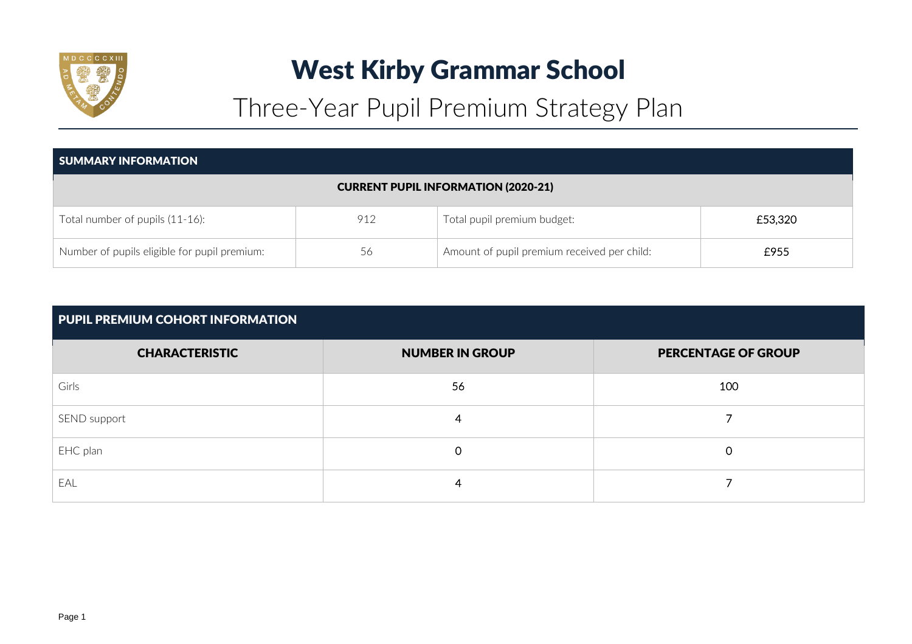

# West Kirby Grammar School

Three-Year Pupil Premium Strategy Plan

| <b>SUMMARY INFORMATION</b>                   |     |                                             |         |  |  |  |
|----------------------------------------------|-----|---------------------------------------------|---------|--|--|--|
|                                              |     | <b>CURRENT PUPIL INFORMATION (2020-21)</b>  |         |  |  |  |
| Total number of pupils (11-16):              | 912 | Total pupil premium budget:                 | £53,320 |  |  |  |
| Number of pupils eligible for pupil premium: | 56  | Amount of pupil premium received per child: | £955    |  |  |  |

| <b>PUPIL PREMIUM COHORT INFORMATION</b> |                        |                            |  |  |  |  |  |
|-----------------------------------------|------------------------|----------------------------|--|--|--|--|--|
| <b>CHARACTERISTIC</b>                   | <b>NUMBER IN GROUP</b> | <b>PERCENTAGE OF GROUP</b> |  |  |  |  |  |
| Girls                                   | 56                     | 100                        |  |  |  |  |  |
| SEND support                            | 4                      |                            |  |  |  |  |  |
| EHC plan                                | $\Omega$               | 0                          |  |  |  |  |  |
| EAL                                     | 4                      |                            |  |  |  |  |  |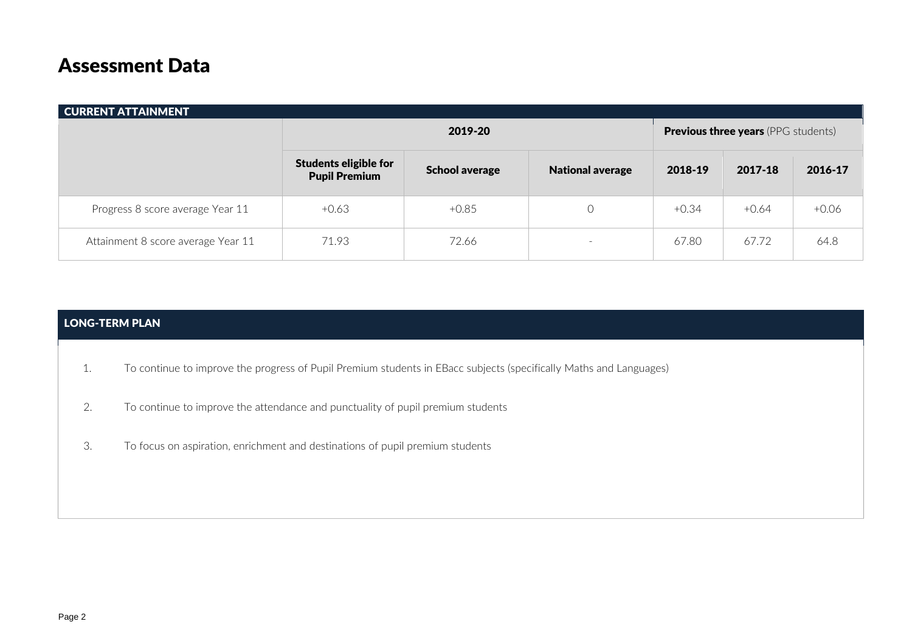## Assessment Data

| <b>CURRENT ATTAINMENT</b>          |                                                      |                       |                                            |         |         |         |  |  |
|------------------------------------|------------------------------------------------------|-----------------------|--------------------------------------------|---------|---------|---------|--|--|
|                                    |                                                      | 2019-20               | <b>Previous three years</b> (PPG students) |         |         |         |  |  |
|                                    | <b>Students eligible for</b><br><b>Pupil Premium</b> | <b>School average</b> | <b>National average</b>                    | 2018-19 | 2017-18 | 2016-17 |  |  |
| Progress 8 score average Year 11   | $+0.63$                                              | $+0.85$               |                                            | $+0.34$ | $+0.64$ | $+0.06$ |  |  |
| Attainment 8 score average Year 11 | 71.93                                                | 72.66                 | $\hspace{0.1mm}-\hspace{0.1mm}$            | 67.80   | 67.72   | 64.8    |  |  |

## LONG-TERM PLAN

- 1. To continue to improve the progress of Pupil Premium students in EBacc subjects (specifically Maths and Languages)
- 2. To continue to improve the attendance and punctuality of pupil premium students
- 3. To focus on aspiration, enrichment and destinations of pupil premium students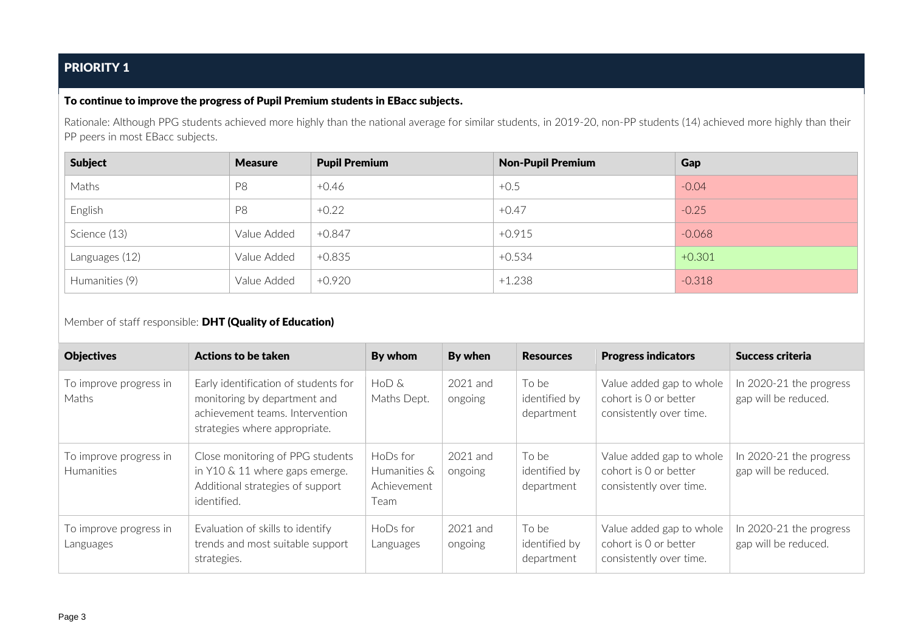## PRIORITY 1

#### To continue to improve the progress of Pupil Premium students in EBacc subjects.

Rationale: Although PPG students achieved more highly than the national average for similar students, in 2019-20, non-PP students (14) achieved more highly than their PP peers in most EBacc subjects.

| <b>Subject</b> | <b>Measure</b> | <b>Pupil Premium</b> | <b>Non-Pupil Premium</b> | Gap      |
|----------------|----------------|----------------------|--------------------------|----------|
| Maths          | P <sub>8</sub> | $+0.46$              | $+0.5$                   | $-0.04$  |
| English        | P <sub>8</sub> | $+0.22$              | $+0.47$                  | $-0.25$  |
| Science (13)   | Value Added    | +0.847               | $+0.915$                 | $-0.068$ |
| Languages (12) | Value Added    | $+0.835$             | $+0.534$                 | $+0.301$ |
| Humanities (9) | Value Added    | $+0.920$             | $+1.238$                 | $-0.318$ |

Member of staff responsible: **DHT (Quality of Education)** 

| <b>Objectives</b>                           | Actions to be taken                                                                                                                      | By whom                                         | By when               | <b>Resources</b>                     | <b>Progress indicators</b>                                                   | Success criteria                                |
|---------------------------------------------|------------------------------------------------------------------------------------------------------------------------------------------|-------------------------------------------------|-----------------------|--------------------------------------|------------------------------------------------------------------------------|-------------------------------------------------|
| To improve progress in<br>Maths             | Early identification of students for<br>monitoring by department and<br>achievement teams. Intervention<br>strategies where appropriate. | HoD &<br>Maths Dept.                            | $2021$ and<br>ongoing | To be<br>identified by<br>department | Value added gap to whole<br>cohort is 0 or better<br>consistently over time. | In 2020-21 the progress<br>gap will be reduced. |
| To improve progress in<br><b>Humanities</b> | Close monitoring of PPG students<br>in Y10 & 11 where gaps emerge.<br>Additional strategies of support<br>identified.                    | HoDs for<br>Humanities &<br>Achievement<br>Team | 2021 and<br>ongoing   | To be<br>identified by<br>department | Value added gap to whole<br>cohort is 0 or better<br>consistently over time. | In 2020-21 the progress<br>gap will be reduced. |
| To improve progress in<br>Languages         | Evaluation of skills to identify<br>trends and most suitable support<br>strategies.                                                      | $H$ <sub>o</sub> $D$ s for<br>Languages         | 2021 and<br>ongoing   | To be<br>identified by<br>department | Value added gap to whole<br>cohort is 0 or better<br>consistently over time. | In 2020-21 the progress<br>gap will be reduced. |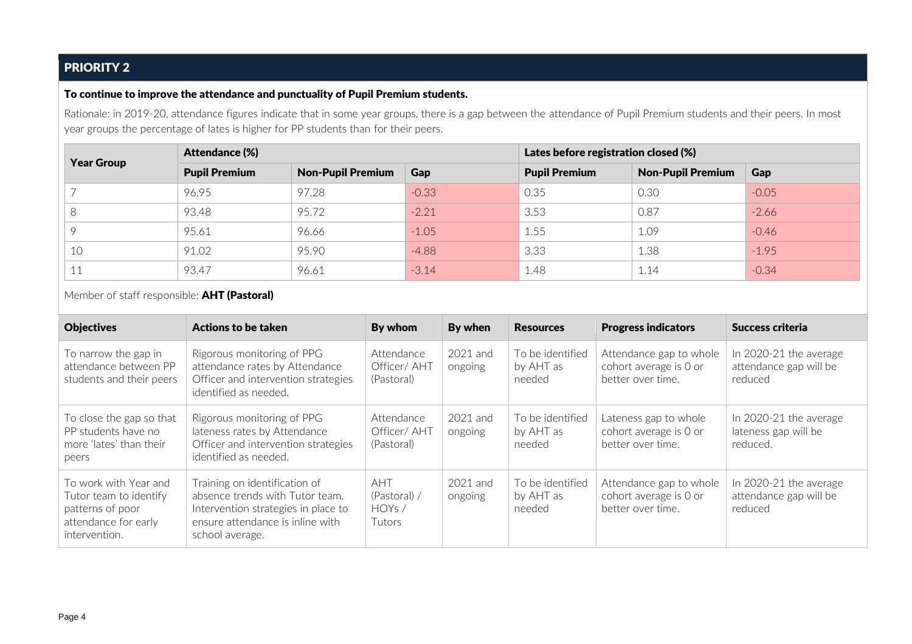## PRIORITY 2

#### To continue to improve the attendance and punctuality of Pupil Premium students.

Rationale: in 2019-20, attendance figures indicate that in some year groups, there is a gap between the attendance of Pupil Premium students and their peers. In most year groups the percentage of lates is higher for PP students than for their peers.

| <b>Year Group</b>   | <b>Attendance (%)</b> |                          |         | Lates before registration closed (%) |                          |         |  |
|---------------------|-----------------------|--------------------------|---------|--------------------------------------|--------------------------|---------|--|
|                     | <b>Pupil Premium</b>  | <b>Non-Pupil Premium</b> | Gap     | <b>Pupil Premium</b>                 | <b>Non-Pupil Premium</b> | Gap     |  |
|                     | 96.95                 | 97.28                    | $-0.33$ | 0.35                                 | 0.30                     | $-0.05$ |  |
| O                   | 93.48                 | 95.72                    | $-2.21$ | 3.53                                 | 0.87                     | $-2.66$ |  |
|                     | 95.61                 | 96.66                    | $-1.05$ | 1.55                                 | 1.09                     | $-0.46$ |  |
| 10                  | 91.02                 | 95.90                    | $-4.88$ | 3.33                                 | 1.38                     | $-1.95$ |  |
| $\Lambda$ $\Lambda$ | 93.47                 | 96.61                    | $-3.14$ | 1.48                                 | 1.14                     | $-0.34$ |  |

Member of staff responsible: **AHT (Pastoral)** 

| <b>Objectives</b>                                                                                            | Actions to be taken                                                                                                                                            | By whom                                       | By when               | <b>Resources</b>                        | <b>Progress indicators</b>                                             | Success criteria                                             |
|--------------------------------------------------------------------------------------------------------------|----------------------------------------------------------------------------------------------------------------------------------------------------------------|-----------------------------------------------|-----------------------|-----------------------------------------|------------------------------------------------------------------------|--------------------------------------------------------------|
| To narrow the gap in<br>attendance between PP<br>students and their peers                                    | Rigorous monitoring of PPG<br>attendance rates by Attendance<br>Officer and intervention strategies<br>identified as needed.                                   | Attendance<br>Officer/AHT<br>(Pastoral)       | $2021$ and<br>ongoing | To be identified<br>by AHT as<br>needed | Attendance gap to whole<br>cohort average is 0 or<br>better over time. | In 2020-21 the average<br>attendance gap will be<br>reduced  |
| To close the gap so that<br>PP students have no<br>more 'lates' than their<br>peers                          | Rigorous monitoring of PPG<br>lateness rates by Attendance<br>Officer and intervention strategies<br>identified as needed.                                     | Attendance<br>Officer/ AHT<br>(Pastoral)      | $2021$ and<br>ongoing | To be identified<br>by AHT as<br>needed | Lateness gap to whole<br>cohort average is 0 or<br>better over time.   | In $2020-21$ the average<br>lateness gap will be<br>reduced. |
| To work with Year and<br>Tutor team to identify<br>patterns of poor<br>attendance for early<br>intervention. | Training on identification of<br>absence trends with Tutor team.<br>Intervention strategies in place to<br>ensure attendance is inline with<br>school average. | <b>AHT</b><br>(Pastoral) /<br>HOYs/<br>Tutors | $2021$ and<br>ongoing | To be identified<br>by AHT as<br>needed | Attendance gap to whole<br>cohort average is 0 or<br>better over time. | In 2020-21 the average<br>attendance gap will be<br>reduced  |